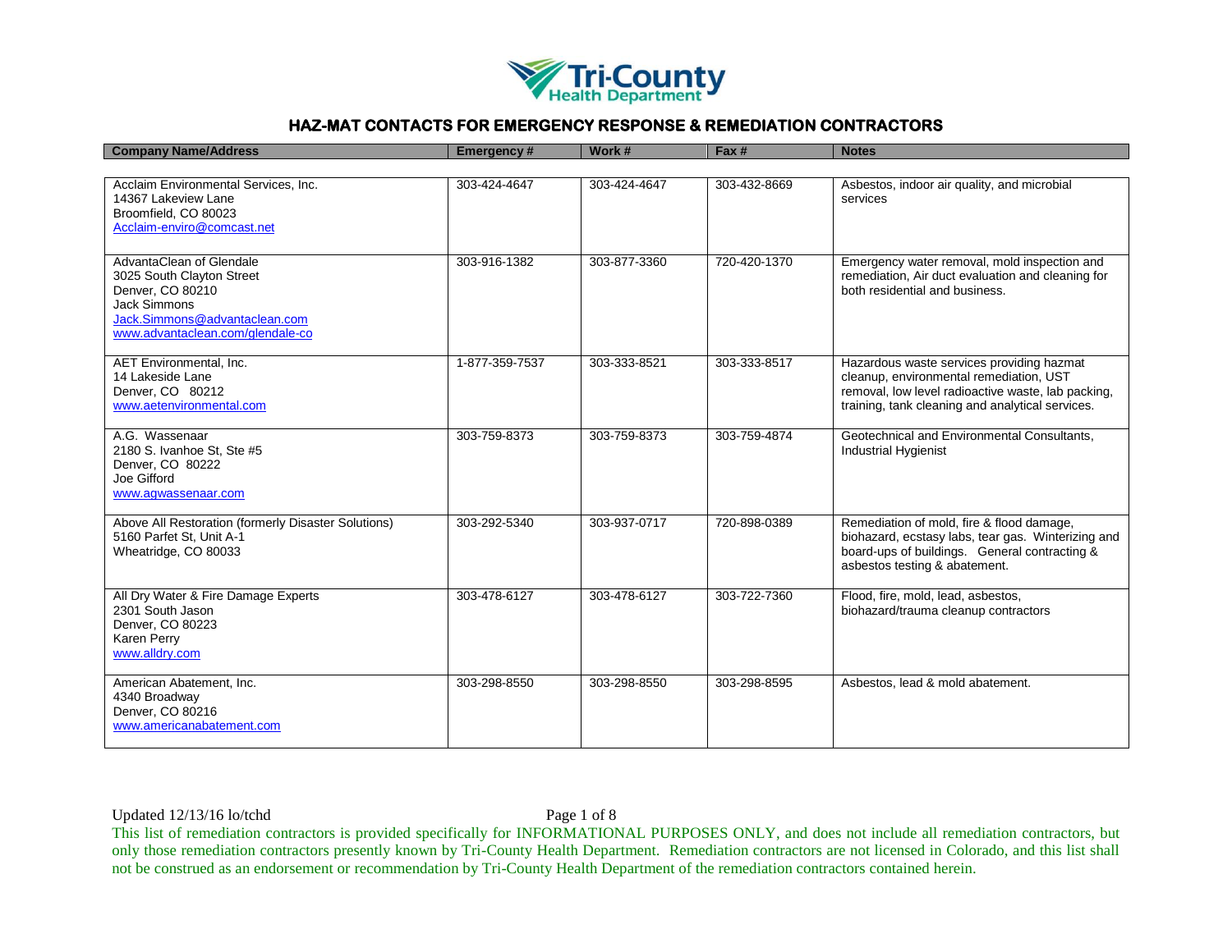

| <b>Company Name/Address</b>                                                                                                                                           | <b>Emergency#</b> | Work #       | Fax #        | <b>Notes</b>                                                                                                                                                                                   |
|-----------------------------------------------------------------------------------------------------------------------------------------------------------------------|-------------------|--------------|--------------|------------------------------------------------------------------------------------------------------------------------------------------------------------------------------------------------|
|                                                                                                                                                                       |                   |              |              |                                                                                                                                                                                                |
| Acclaim Environmental Services, Inc.<br>14367 Lakeview Lane<br>Broomfield, CO 80023<br>Acclaim-enviro@comcast.net                                                     | 303-424-4647      | 303-424-4647 | 303-432-8669 | Asbestos, indoor air quality, and microbial<br>services                                                                                                                                        |
| AdvantaClean of Glendale<br>3025 South Clayton Street<br>Denver, CO 80210<br><b>Jack Simmons</b><br>Jack.Simmons@advantaclean.com<br>www.advantaclean.com/glendale-co | 303-916-1382      | 303-877-3360 | 720-420-1370 | Emergency water removal, mold inspection and<br>remediation, Air duct evaluation and cleaning for<br>both residential and business.                                                            |
| <b>AET Environmental, Inc.</b><br>14 Lakeside Lane<br>Denver, CO 80212<br>www.aetenvironmental.com                                                                    | 1-877-359-7537    | 303-333-8521 | 303-333-8517 | Hazardous waste services providing hazmat<br>cleanup, environmental remediation, UST<br>removal, low level radioactive waste, lab packing,<br>training, tank cleaning and analytical services. |
| A.G. Wassenaar<br>2180 S. Ivanhoe St, Ste #5<br>Denver, CO 80222<br>Joe Gifford<br>www.aqwassenaar.com                                                                | 303-759-8373      | 303-759-8373 | 303-759-4874 | Geotechnical and Environmental Consultants,<br><b>Industrial Hygienist</b>                                                                                                                     |
| Above All Restoration (formerly Disaster Solutions)<br>5160 Parfet St, Unit A-1<br>Wheatridge, CO 80033                                                               | 303-292-5340      | 303-937-0717 | 720-898-0389 | Remediation of mold, fire & flood damage,<br>biohazard, ecstasy labs, tear gas. Winterizing and<br>board-ups of buildings. General contracting &<br>asbestos testing & abatement.              |
| All Dry Water & Fire Damage Experts<br>2301 South Jason<br>Denver, CO 80223<br>Karen Perry<br>www.alldry.com                                                          | 303-478-6127      | 303-478-6127 | 303-722-7360 | Flood, fire, mold, lead, asbestos,<br>biohazard/trauma cleanup contractors                                                                                                                     |
| American Abatement, Inc.<br>4340 Broadway<br>Denver, CO 80216<br>www.americanabatement.com                                                                            | 303-298-8550      | 303-298-8550 | 303-298-8595 | Asbestos, lead & mold abatement.                                                                                                                                                               |

Updated 12/13/16 lo/tchd Page 1 of 8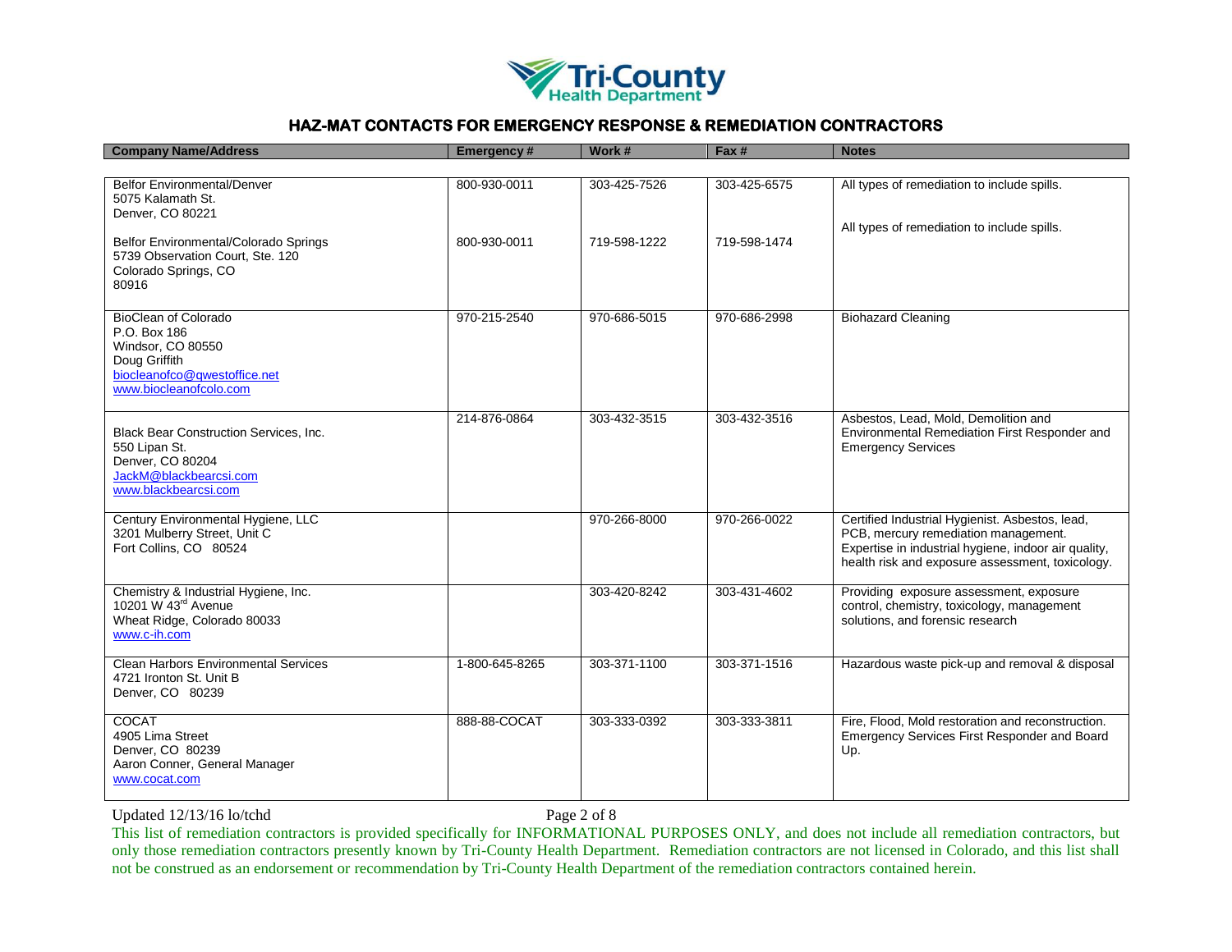

| <b>Company Name/Address</b>                                                                                                                 | <b>Emergency#</b> | Work #       | Fax #        | <b>Notes</b>                                                                                                                                                                                        |
|---------------------------------------------------------------------------------------------------------------------------------------------|-------------------|--------------|--------------|-----------------------------------------------------------------------------------------------------------------------------------------------------------------------------------------------------|
|                                                                                                                                             |                   |              |              |                                                                                                                                                                                                     |
| <b>Belfor Environmental/Denver</b><br>5075 Kalamath St.<br>Denver, CO 80221                                                                 | 800-930-0011      | 303-425-7526 | 303-425-6575 | All types of remediation to include spills.<br>All types of remediation to include spills.                                                                                                          |
| Belfor Environmental/Colorado Springs<br>5739 Observation Court, Ste. 120<br>Colorado Springs, CO<br>80916                                  | 800-930-0011      | 719-598-1222 | 719-598-1474 |                                                                                                                                                                                                     |
| <b>BioClean of Colorado</b><br>P.O. Box 186<br>Windsor, CO 80550<br>Doug Griffith<br>biocleanofco@qwestoffice.net<br>www.biocleanofcolo.com | 970-215-2540      | 970-686-5015 | 970-686-2998 | <b>Biohazard Cleaning</b>                                                                                                                                                                           |
| Black Bear Construction Services, Inc.<br>550 Lipan St.<br>Denver, CO 80204<br>JackM@blackbearcsi.com<br>www.blackbearcsi.com               | 214-876-0864      | 303-432-3515 | 303-432-3516 | Asbestos, Lead, Mold, Demolition and<br>Environmental Remediation First Responder and<br><b>Emergency Services</b>                                                                                  |
| Century Environmental Hygiene, LLC<br>3201 Mulberry Street, Unit C<br>Fort Collins, CO 80524                                                |                   | 970-266-8000 | 970-266-0022 | Certified Industrial Hygienist. Asbestos, lead,<br>PCB, mercury remediation management.<br>Expertise in industrial hygiene, indoor air quality,<br>health risk and exposure assessment, toxicology. |
| Chemistry & Industrial Hygiene, Inc.<br>10201 W 43 <sup>rd</sup> Avenue<br>Wheat Ridge, Colorado 80033<br>www.c-ih.com                      |                   | 303-420-8242 | 303-431-4602 | Providing exposure assessment, exposure<br>control, chemistry, toxicology, management<br>solutions, and forensic research                                                                           |
| Clean Harbors Environmental Services<br>4721 Ironton St. Unit B<br>Denver, CO 80239                                                         | 1-800-645-8265    | 303-371-1100 | 303-371-1516 | Hazardous waste pick-up and removal & disposal                                                                                                                                                      |
| COCAT<br>4905 Lima Street<br>Denver, CO 80239<br>Aaron Conner, General Manager<br>www.cocat.com                                             | 888-88-COCAT      | 303-333-0392 | 303-333-3811 | Fire, Flood, Mold restoration and reconstruction.<br>Emergency Services First Responder and Board<br>Up.                                                                                            |

Updated 12/13/16 lo/tchd Page 2 of 8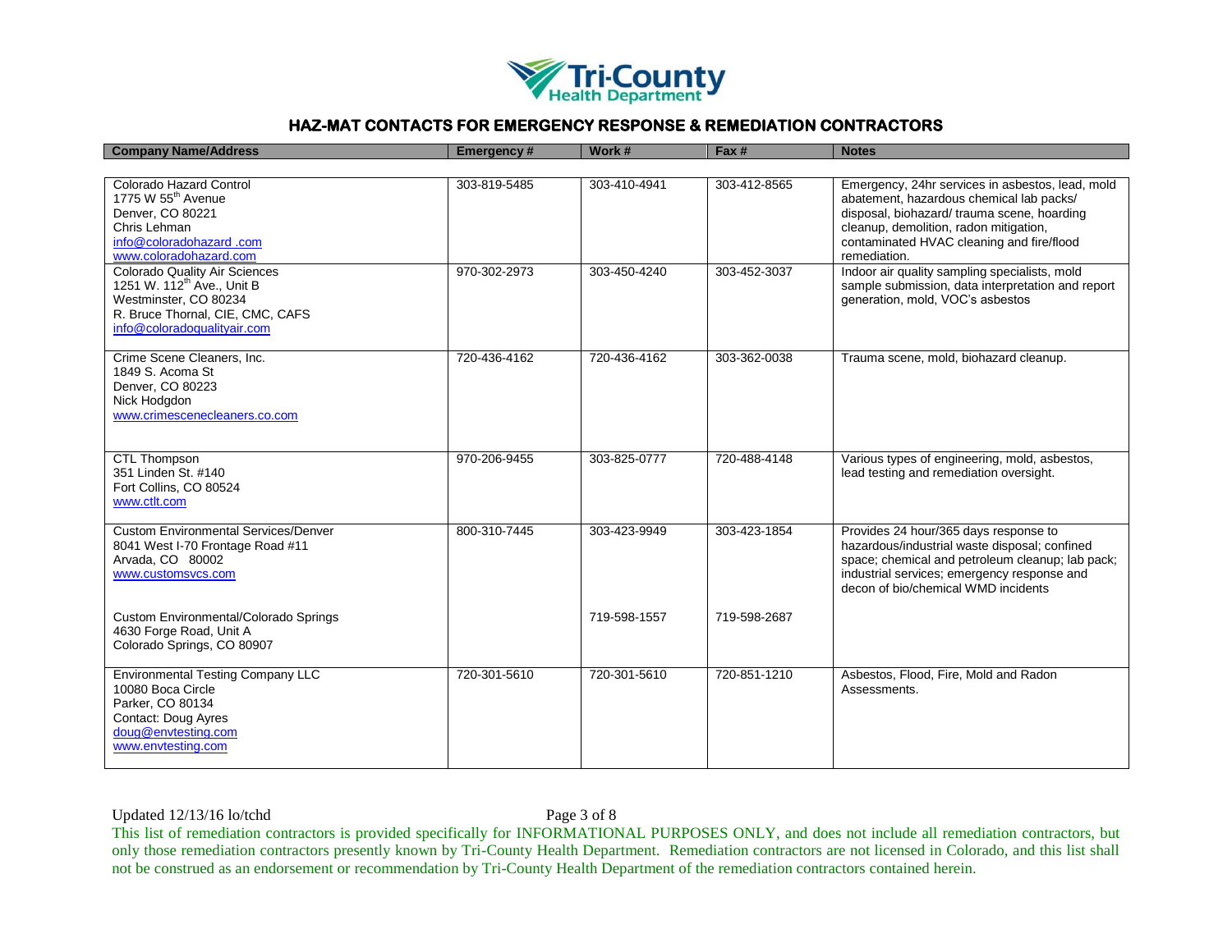

| <b>Company Name/Address</b>                                                                                                                                                | Emergency#   | Work #       | Fax #        | <b>Notes</b>                                                                                                                                                                                                                                       |
|----------------------------------------------------------------------------------------------------------------------------------------------------------------------------|--------------|--------------|--------------|----------------------------------------------------------------------------------------------------------------------------------------------------------------------------------------------------------------------------------------------------|
|                                                                                                                                                                            |              |              |              |                                                                                                                                                                                                                                                    |
| Colorado Hazard Control<br>1775 W 55 <sup>th</sup> Avenue<br>Denver, CO 80221<br>Chris Lehman<br>info@coloradohazard.com<br>www.coloradohazard.com                         | 303-819-5485 | 303-410-4941 | 303-412-8565 | Emergency, 24hr services in asbestos, lead, mold<br>abatement, hazardous chemical lab packs/<br>disposal, biohazard/ trauma scene, hoarding<br>cleanup, demolition, radon mitigation,<br>contaminated HVAC cleaning and fire/flood<br>remediation. |
| <b>Colorado Quality Air Sciences</b><br>1251 W. 112 <sup>th</sup> Ave., Unit B<br>Westminster, CO 80234<br>R. Bruce Thornal, CIE, CMC, CAFS<br>info@coloradoqualityair.com | 970-302-2973 | 303-450-4240 | 303-452-3037 | Indoor air quality sampling specialists, mold<br>sample submission, data interpretation and report<br>generation, mold, VOC's asbestos                                                                                                             |
| Crime Scene Cleaners, Inc.<br>1849 S. Acoma St<br>Denver, CO 80223<br>Nick Hodgdon<br>www.crimescenecleaners.co.com                                                        | 720-436-4162 | 720-436-4162 | 303-362-0038 | Trauma scene, mold, biohazard cleanup.                                                                                                                                                                                                             |
| <b>CTL Thompson</b><br>351 Linden St. #140<br>Fort Collins, CO 80524<br>www.ctlt.com                                                                                       | 970-206-9455 | 303-825-0777 | 720-488-4148 | Various types of engineering, mold, asbestos,<br>lead testing and remediation oversight.                                                                                                                                                           |
| <b>Custom Environmental Services/Denver</b><br>8041 West I-70 Frontage Road #11<br>Arvada, CO 80002<br>www.customsvcs.com                                                  | 800-310-7445 | 303-423-9949 | 303-423-1854 | Provides 24 hour/365 days response to<br>hazardous/industrial waste disposal; confined<br>space; chemical and petroleum cleanup; lab pack;<br>industrial services; emergency response and<br>decon of bio/chemical WMD incidents                   |
| Custom Environmental/Colorado Springs<br>4630 Forge Road, Unit A<br>Colorado Springs, CO 80907                                                                             |              | 719-598-1557 | 719-598-2687 |                                                                                                                                                                                                                                                    |
| <b>Environmental Testing Company LLC</b><br>10080 Boca Circle<br>Parker, CO 80134<br>Contact: Doug Ayres<br>doug@envtesting.com<br>www.envtesting.com                      | 720-301-5610 | 720-301-5610 | 720-851-1210 | Asbestos, Flood, Fire, Mold and Radon<br>Assessments.                                                                                                                                                                                              |

Updated 12/13/16 lo/tchd Page 3 of 8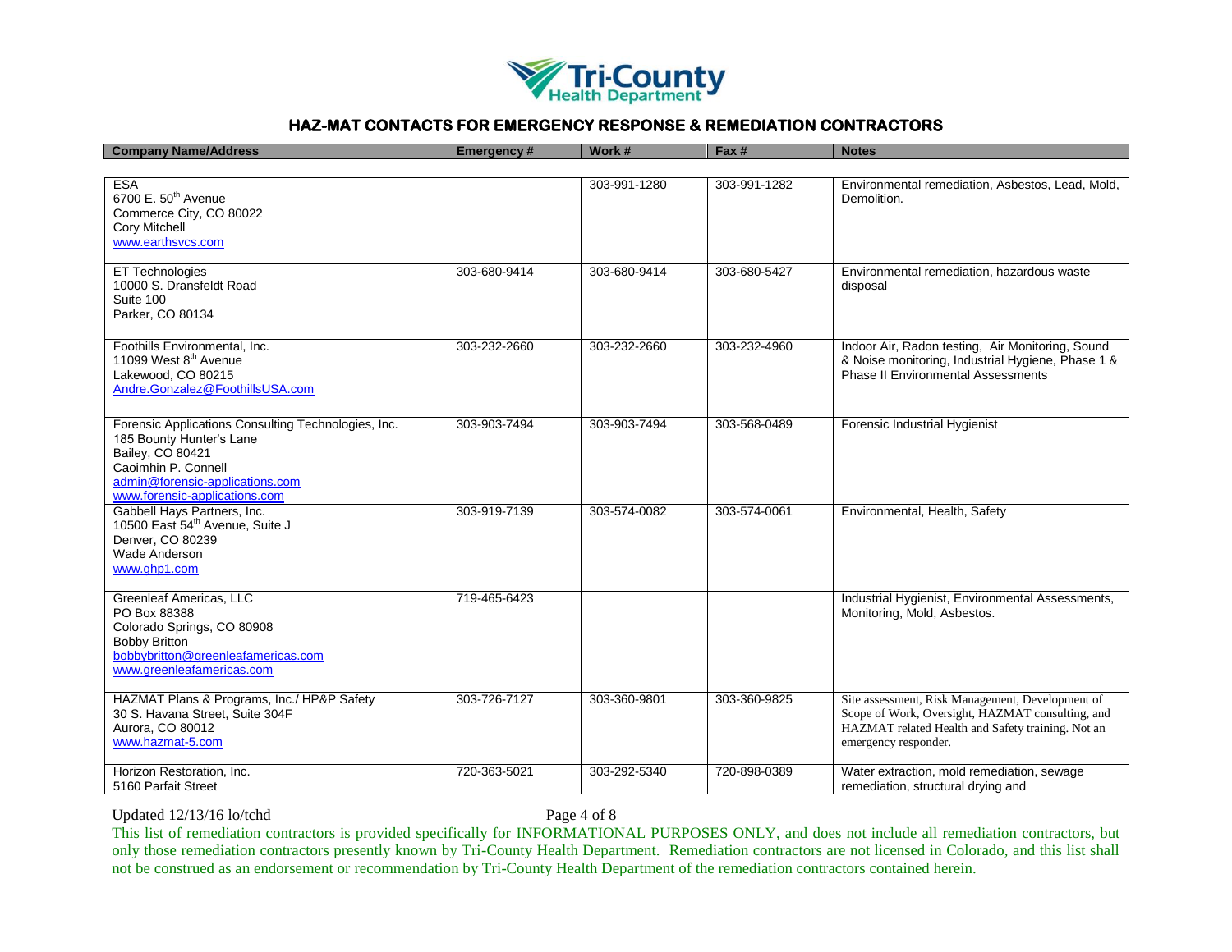

| <b>Company Name/Address</b>                                                                                                                                                                    | Emergency#   | Work #       | Fax #        | <b>Notes</b>                                                                                                                                                                      |
|------------------------------------------------------------------------------------------------------------------------------------------------------------------------------------------------|--------------|--------------|--------------|-----------------------------------------------------------------------------------------------------------------------------------------------------------------------------------|
|                                                                                                                                                                                                |              |              |              |                                                                                                                                                                                   |
| <b>ESA</b><br>6700 E. 50 <sup>th</sup> Avenue<br>Commerce City, CO 80022<br>Cory Mitchell<br>www.earthsvcs.com                                                                                 |              | 303-991-1280 | 303-991-1282 | Environmental remediation, Asbestos, Lead, Mold,<br>Demolition.                                                                                                                   |
| ET Technologies<br>10000 S. Dransfeldt Road<br>Suite 100<br>Parker, CO 80134                                                                                                                   | 303-680-9414 | 303-680-9414 | 303-680-5427 | Environmental remediation, hazardous waste<br>disposal                                                                                                                            |
| Foothills Environmental, Inc.<br>11099 West 8 <sup>th</sup> Avenue<br>Lakewood, CO 80215<br>Andre.Gonzalez@FoothillsUSA.com                                                                    | 303-232-2660 | 303-232-2660 | 303-232-4960 | Indoor Air, Radon testing, Air Monitoring, Sound<br>& Noise monitoring, Industrial Hygiene, Phase 1 &<br><b>Phase II Environmental Assessments</b>                                |
| Forensic Applications Consulting Technologies, Inc.<br>185 Bounty Hunter's Lane<br>Bailey, CO 80421<br>Caoimhin P. Connell<br>admin@forensic-applications.com<br>www.forensic-applications.com | 303-903-7494 | 303-903-7494 | 303-568-0489 | Forensic Industrial Hygienist                                                                                                                                                     |
| Gabbell Hays Partners, Inc.<br>10500 East 54th Avenue, Suite J<br>Denver, CO 80239<br><b>Wade Anderson</b><br>www.ghp1.com                                                                     | 303-919-7139 | 303-574-0082 | 303-574-0061 | Environmental, Health, Safety                                                                                                                                                     |
| Greenleaf Americas, LLC<br>PO Box 88388<br>Colorado Springs, CO 80908<br><b>Bobby Britton</b><br>bobbybritton@greenleafamericas.com<br>www.greenleafamericas.com                               | 719-465-6423 |              |              | Industrial Hygienist, Environmental Assessments,<br>Monitoring, Mold, Asbestos.                                                                                                   |
| HAZMAT Plans & Programs, Inc./ HP&P Safety<br>30 S. Havana Street, Suite 304F<br>Aurora, CO 80012<br>www.hazmat-5.com                                                                          | 303-726-7127 | 303-360-9801 | 303-360-9825 | Site assessment, Risk Management, Development of<br>Scope of Work, Oversight, HAZMAT consulting, and<br>HAZMAT related Health and Safety training. Not an<br>emergency responder. |
| Horizon Restoration, Inc.<br>5160 Parfait Street                                                                                                                                               | 720-363-5021 | 303-292-5340 | 720-898-0389 | Water extraction, mold remediation, sewage<br>remediation, structural drying and                                                                                                  |

Updated 12/13/16 lo/tchd Page 4 of 8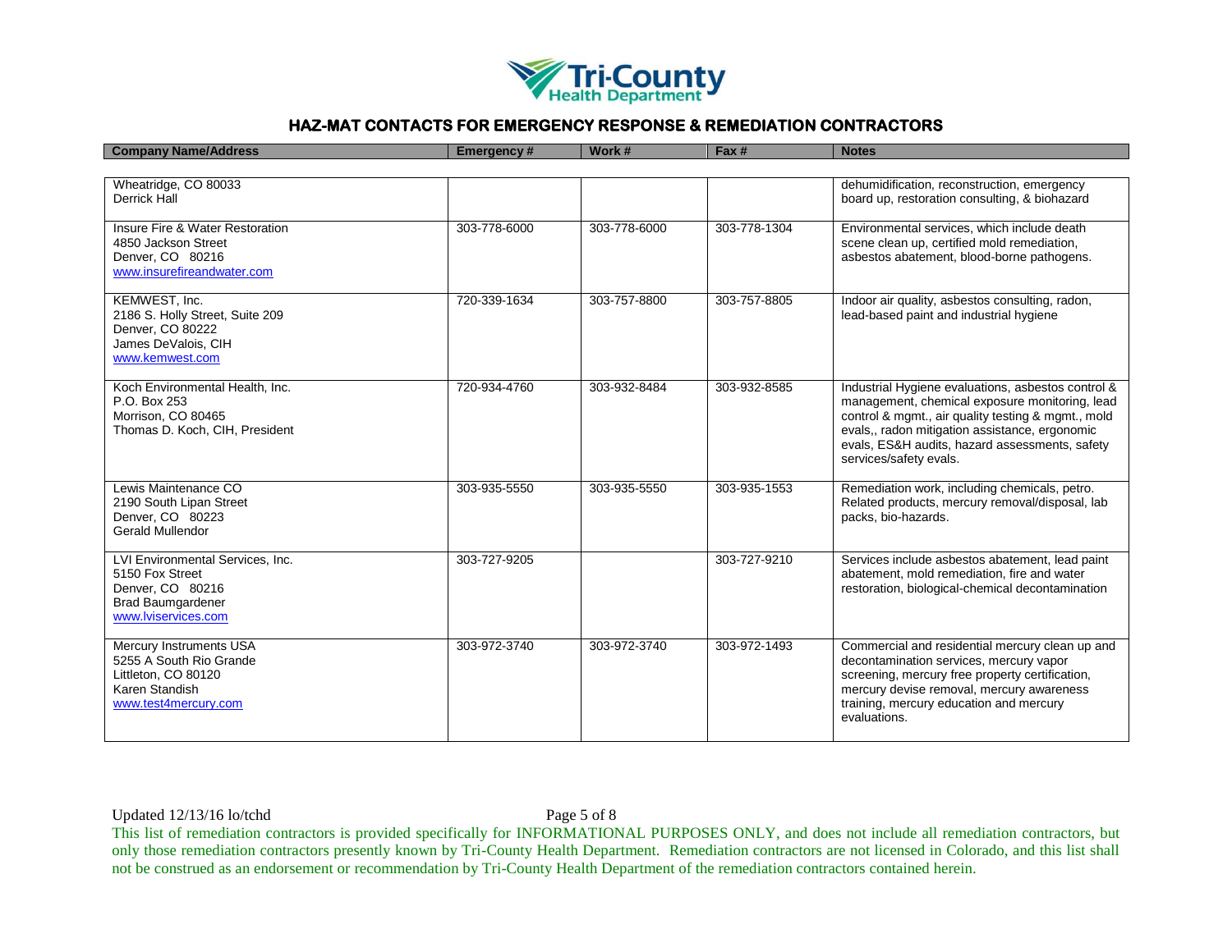

| <b>Company Name/Address</b>                                                                                                | <b>Emergency#</b> | Work #       | Fax #        | <b>Notes</b>                                                                                                                                                                                                                                                                             |
|----------------------------------------------------------------------------------------------------------------------------|-------------------|--------------|--------------|------------------------------------------------------------------------------------------------------------------------------------------------------------------------------------------------------------------------------------------------------------------------------------------|
|                                                                                                                            |                   |              |              |                                                                                                                                                                                                                                                                                          |
| Wheatridge, CO 80033<br><b>Derrick Hall</b>                                                                                |                   |              |              | dehumidification, reconstruction, emergency<br>board up, restoration consulting, & biohazard                                                                                                                                                                                             |
| Insure Fire & Water Restoration<br>4850 Jackson Street<br>Denver, CO 80216<br>www.insurefireandwater.com                   | 303-778-6000      | 303-778-6000 | 303-778-1304 | Environmental services, which include death<br>scene clean up, certified mold remediation,<br>asbestos abatement, blood-borne pathogens.                                                                                                                                                 |
| KEMWEST, Inc.<br>2186 S. Holly Street, Suite 209<br>Denver, CO 80222<br>James DeValois, CIH<br>www.kemwest.com             | 720-339-1634      | 303-757-8800 | 303-757-8805 | Indoor air quality, asbestos consulting, radon,<br>lead-based paint and industrial hygiene                                                                                                                                                                                               |
| Koch Environmental Health, Inc.<br>P.O. Box 253<br>Morrison, CO 80465<br>Thomas D. Koch, CIH, President                    | 720-934-4760      | 303-932-8484 | 303-932-8585 | Industrial Hygiene evaluations, asbestos control &<br>management, chemical exposure monitoring, lead<br>control & mgmt., air quality testing & mgmt., mold<br>evals,, radon mitigation assistance, ergonomic<br>evals, ES&H audits, hazard assessments, safety<br>services/safety evals. |
| Lewis Maintenance CO<br>2190 South Lipan Street<br>Denver, CO 80223<br><b>Gerald Mullendor</b>                             | 303-935-5550      | 303-935-5550 | 303-935-1553 | Remediation work, including chemicals, petro.<br>Related products, mercury removal/disposal, lab<br>packs, bio-hazards.                                                                                                                                                                  |
| LVI Environmental Services, Inc.<br>5150 Fox Street<br>Denver, CO 80216<br><b>Brad Baumgardener</b><br>www.lviservices.com | 303-727-9205      |              | 303-727-9210 | Services include asbestos abatement, lead paint<br>abatement, mold remediation, fire and water<br>restoration, biological-chemical decontamination                                                                                                                                       |
| <b>Mercury Instruments USA</b><br>5255 A South Rio Grande<br>Littleton, CO 80120<br>Karen Standish<br>www.test4mercurv.com | 303-972-3740      | 303-972-3740 | 303-972-1493 | Commercial and residential mercury clean up and<br>decontamination services, mercury vapor<br>screening, mercury free property certification,<br>mercury devise removal, mercury awareness<br>training, mercury education and mercury<br>evaluations.                                    |

Updated 12/13/16 lo/tchd Page 5 of 8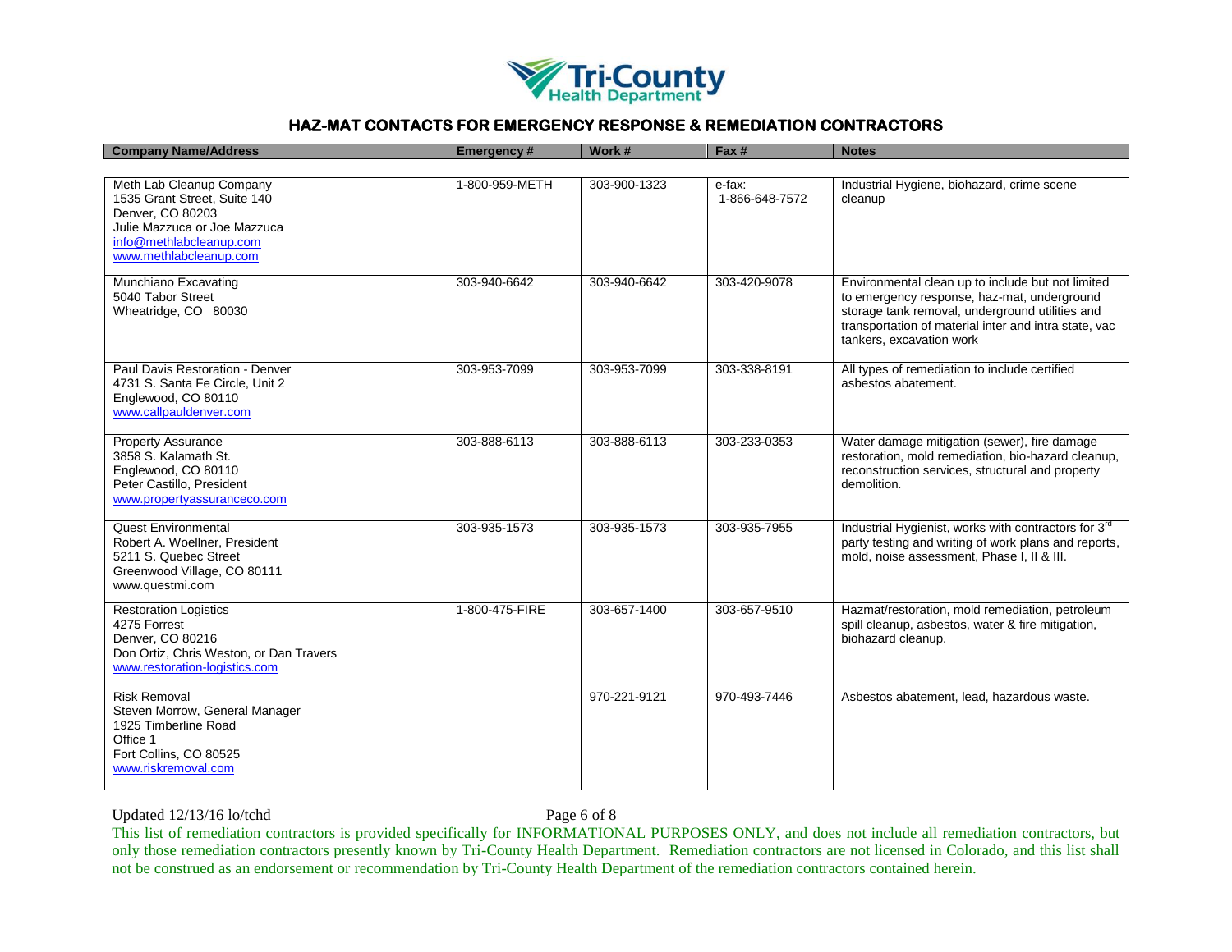

| <b>Company Name/Address</b>                                                                                                                                       | <b>Emergency#</b> | Work #       | Fax #                    | <b>Notes</b>                                                                                                                                                                                                                             |
|-------------------------------------------------------------------------------------------------------------------------------------------------------------------|-------------------|--------------|--------------------------|------------------------------------------------------------------------------------------------------------------------------------------------------------------------------------------------------------------------------------------|
|                                                                                                                                                                   |                   |              |                          |                                                                                                                                                                                                                                          |
| Meth Lab Cleanup Company<br>1535 Grant Street, Suite 140<br>Denver, CO 80203<br>Julie Mazzuca or Joe Mazzuca<br>info@methlabcleanup.com<br>www.methlabcleanup.com | 1-800-959-METH    | 303-900-1323 | e-fax:<br>1-866-648-7572 | Industrial Hygiene, biohazard, crime scene<br>cleanup                                                                                                                                                                                    |
| Munchiano Excavating<br>5040 Tabor Street<br>Wheatridge, CO 80030                                                                                                 | 303-940-6642      | 303-940-6642 | 303-420-9078             | Environmental clean up to include but not limited<br>to emergency response, haz-mat, underground<br>storage tank removal, underground utilities and<br>transportation of material inter and intra state, vac<br>tankers, excavation work |
| Paul Davis Restoration - Denver<br>4731 S. Santa Fe Circle, Unit 2<br>Englewood, CO 80110<br>www.callpauldenver.com                                               | 303-953-7099      | 303-953-7099 | 303-338-8191             | All types of remediation to include certified<br>ashestos abatement.                                                                                                                                                                     |
| <b>Property Assurance</b><br>3858 S. Kalamath St.<br>Englewood, CO 80110<br>Peter Castillo, President<br>www.propertyassuranceco.com                              | 303-888-6113      | 303-888-6113 | 303-233-0353             | Water damage mitigation (sewer), fire damage<br>restoration, mold remediation, bio-hazard cleanup,<br>reconstruction services, structural and property<br>demolition.                                                                    |
| <b>Quest Environmental</b><br>Robert A. Woellner, President<br>5211 S. Quebec Street<br>Greenwood Village, CO 80111<br>www.questmi.com                            | 303-935-1573      | 303-935-1573 | 303-935-7955             | Industrial Hygienist, works with contractors for 3 <sup>rd</sup><br>party testing and writing of work plans and reports,<br>mold, noise assessment, Phase I, II & III.                                                                   |
| <b>Restoration Logistics</b><br>4275 Forrest<br>Denver, CO 80216<br>Don Ortiz, Chris Weston, or Dan Travers<br>www.restoration-logistics.com                      | 1-800-475-FIRE    | 303-657-1400 | 303-657-9510             | Hazmat/restoration, mold remediation, petroleum<br>spill cleanup, asbestos, water & fire mitigation,<br>biohazard cleanup.                                                                                                               |
| <b>Risk Removal</b><br>Steven Morrow, General Manager<br>1925 Timberline Road<br>Office 1<br>Fort Collins, CO 80525<br>www.riskremoval.com                        |                   | 970-221-9121 | 970-493-7446             | Asbestos abatement, lead, hazardous waste.                                                                                                                                                                                               |

Updated 12/13/16 lo/tchd Page 6 of 8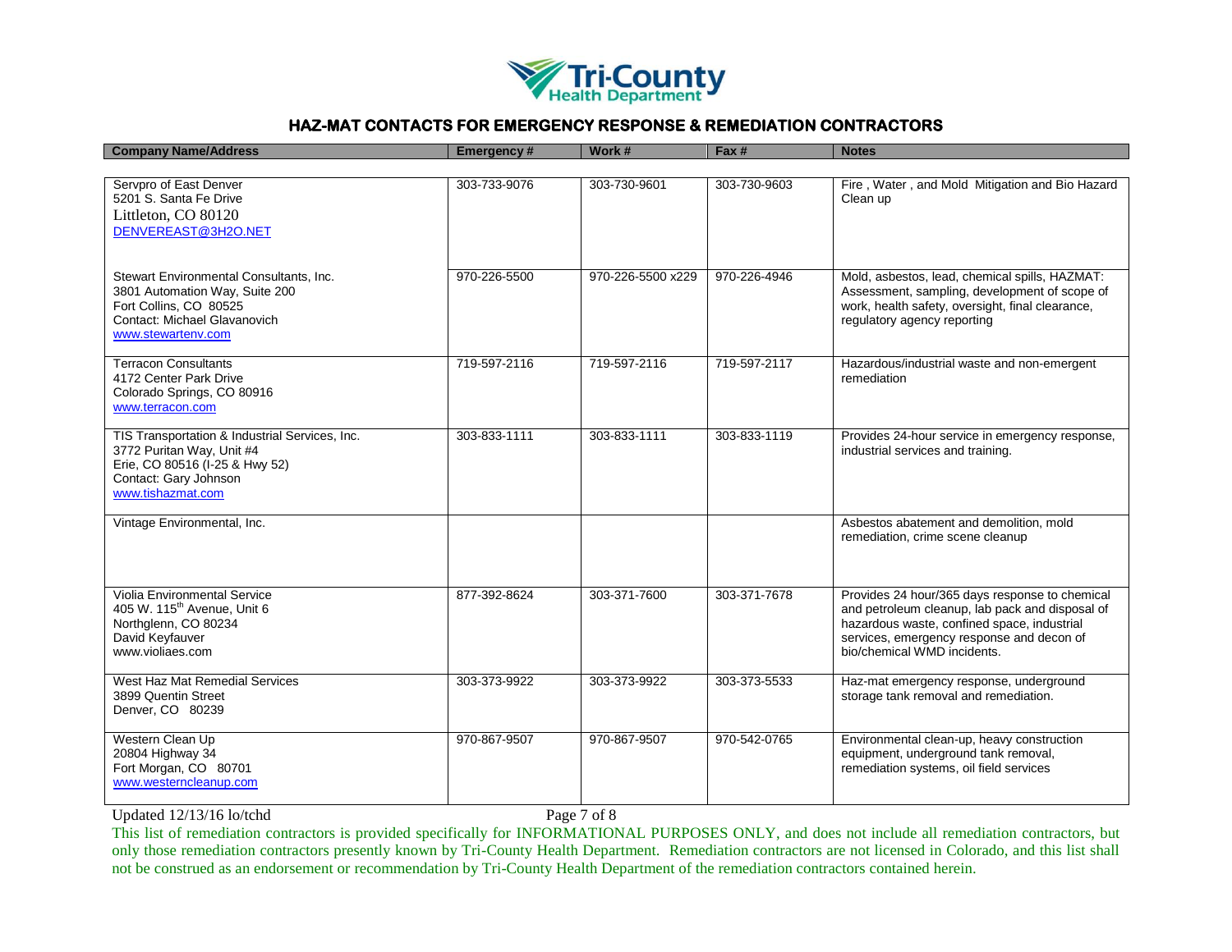

| <b>Company Name/Address</b>                                                                                                                                 | <b>Emergency#</b> | Work #            | Fax #        | <b>Notes</b>                                                                                                                                                                                                                 |
|-------------------------------------------------------------------------------------------------------------------------------------------------------------|-------------------|-------------------|--------------|------------------------------------------------------------------------------------------------------------------------------------------------------------------------------------------------------------------------------|
|                                                                                                                                                             |                   |                   |              |                                                                                                                                                                                                                              |
| Servpro of East Denver<br>5201 S. Santa Fe Drive<br>Littleton, CO 80120<br>DENVEREAST@3H2O.NET                                                              | 303-733-9076      | 303-730-9601      | 303-730-9603 | Fire, Water, and Mold Mitigation and Bio Hazard<br>Clean up                                                                                                                                                                  |
| Stewart Environmental Consultants, Inc.<br>3801 Automation Way, Suite 200<br>Fort Collins, CO 80525<br>Contact: Michael Glavanovich<br>www.stewartenv.com   | 970-226-5500      | 970-226-5500 x229 | 970-226-4946 | Mold, asbestos, lead, chemical spills, HAZMAT:<br>Assessment, sampling, development of scope of<br>work, health safety, oversight, final clearance,<br>regulatory agency reporting                                           |
| <b>Terracon Consultants</b><br>4172 Center Park Drive<br>Colorado Springs, CO 80916<br>www.terracon.com                                                     | 719-597-2116      | 719-597-2116      | 719-597-2117 | Hazardous/industrial waste and non-emergent<br>remediation                                                                                                                                                                   |
| TIS Transportation & Industrial Services, Inc.<br>3772 Puritan Way, Unit #4<br>Erie, CO 80516 (I-25 & Hwy 52)<br>Contact: Gary Johnson<br>www.tishazmat.com | 303-833-1111      | 303-833-1111      | 303-833-1119 | Provides 24-hour service in emergency response,<br>industrial services and training.                                                                                                                                         |
| Vintage Environmental, Inc.                                                                                                                                 |                   |                   |              | Asbestos abatement and demolition, mold<br>remediation, crime scene cleanup                                                                                                                                                  |
| Violia Environmental Service<br>405 W. 115 <sup>th</sup> Avenue, Unit 6<br>Northglenn, CO 80234<br>David Keyfauver<br>www.violiaes.com                      | 877-392-8624      | 303-371-7600      | 303-371-7678 | Provides 24 hour/365 days response to chemical<br>and petroleum cleanup, lab pack and disposal of<br>hazardous waste, confined space, industrial<br>services, emergency response and decon of<br>bio/chemical WMD incidents. |
| West Haz Mat Remedial Services<br>3899 Quentin Street<br>Denver, CO 80239                                                                                   | 303-373-9922      | 303-373-9922      | 303-373-5533 | Haz-mat emergency response, underground<br>storage tank removal and remediation.                                                                                                                                             |
| Western Clean Up<br>20804 Highway 34<br>Fort Morgan, CO 80701<br>www.westerncleanup.com                                                                     | 970-867-9507      | 970-867-9507      | 970-542-0765 | Environmental clean-up, heavy construction<br>equipment, underground tank removal,<br>remediation systems, oil field services                                                                                                |

Updated 12/13/16 lo/tchd Page 7 of 8